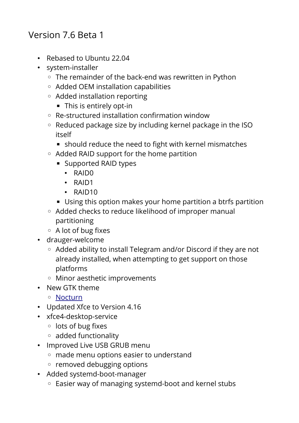## Version 7.6 Beta 1

- Rebased to Ubuntu 22.04
- system-installer
	- The remainder of the back-end was rewritten in Python
	- Added OEM installation capabilities
	- Added installation reporting
		- This is entirely opt-in
	- Re-structured installation confirmation window
	- Reduced package size by including kernel package in the ISO itself
		- should reduce the need to fight with kernel mismatches
	- Added RAID support for the home partition
		- Supported RAID types
			- RAID0
			- RAID1
			- RAID10
		- Using this option makes your home partition a btrfs partition
	- Added checks to reduce likelihood of improper manual partitioning
	- A lot of bug fixes
- drauger-welcome
	- Added ability to install Telegram and/or Discord if they are not already installed, when attempting to get support on those platforms
	- Minor aesthetic improvements
- New GTK theme
	- ◦ [Nocturn](https://github.com/drauger-os-development/nocturn-gtk)
- Updated Xfce to Version 4.16
- xfce4-desktop-service
	- lots of bug fixes
	- added functionality
- Improved Live USB GRUB menu
	- made menu options easier to understand
	- removed debugging options
- Added systemd-boot-manager
	- Easier way of managing systemd-boot and kernel stubs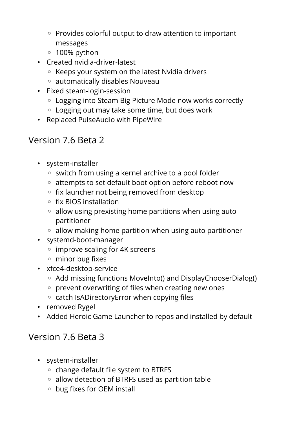- Provides colorful output to draw attention to important messages
- 100% python
- Created nvidia-driver-latest
	- Keeps your system on the latest Nvidia drivers
	- automatically disables Nouveau
- Fixed steam-login-session
	- Logging into Steam Big Picture Mode now works correctly
	- Logging out may take some time, but does work
- Replaced PulseAudio with PipeWire

## Version 7.6 Beta 2

- system-installer
	- switch from using a kernel archive to a pool folder
	- attempts to set default boot option before reboot now
	- fix launcher not being removed from desktop
	- fix BIOS installation
	- allow using prexisting home partitions when using auto partitioner
	- allow making home partition when using auto partitioner
- systemd-boot-manager
	- improve scaling for 4K screens
	- minor bug fixes
- xfce4-desktop-service
	- Add missing functions MoveInto() and DisplayChooserDialog()
	- prevent overwriting of files when creating new ones
	- catch IsADirectoryError when copying files
- removed Rygel
- Added Heroic Game Launcher to repos and installed by default

## Version 7.6 Beta 3

- system-installer
	- change default file system to BTRFS
	- allow detection of BTRFS used as partition table
	- bug fixes for OEM install